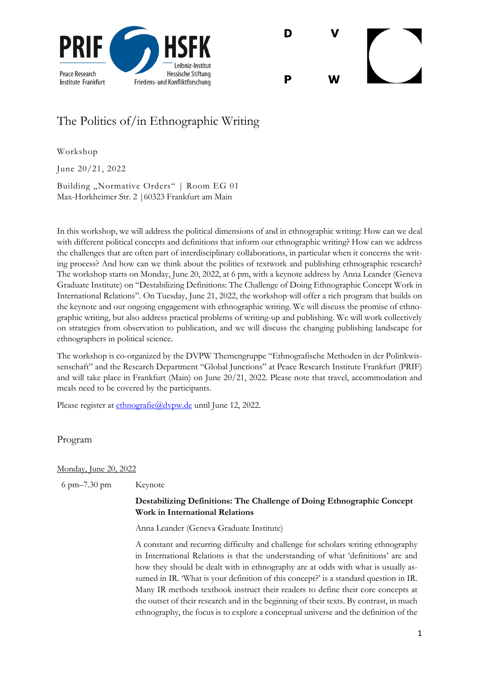



## The Politics of/in Ethnographic Writing

Workshop

June 20/21, 2022

Building "Normative Orders" | Room EG 01 Max-Horkheimer Str. 2 |60323 Frankfurt am Main

In this workshop, we will address the political dimensions of and in ethnographic writing: How can we deal with different political concepts and definitions that inform our ethnographic writing? How can we address the challenges that are often part of interdisciplinary collaborations, in particular when it concerns the writing process? And how can we think about the politics of textwork and publishing ethnographic research? The workshop starts on Monday, June 20, 2022, at 6 pm, with a keynote address by Anna Leander (Geneva Graduate Institute) on "Destabilizing Definitions: The Challenge of Doing Ethnographic Concept Work in International Relations". On Tuesday, June 21, 2022, the workshop will offer a rich program that builds on the keynote and our ongoing engagement with ethnographic writing. We will discuss the promise of ethnographic writing, but also address practical problems of writing-up and publishing. We will work collectively on strategies from observation to publication, and we will discuss the changing publishing landscape for ethnographers in political science.

The workshop is co-organized by the DVPW Themengruppe "Ethnografische Methoden in der Politikwissenschaft" and the Research Department "Global Junctions" at Peace Research Institute Frankfurt (PRIF) and will take place in Frankfurt (Main) on June 20/21, 2022. Please note that travel, accommodation and meals need to be covered by the participants.

Please register at ethnografie@dvpw.de until June 12, 2022.

Program

## Monday, June 20, 2022

6 pm–7.30 pm Keynote

## **Destabilizing Definitions: The Challenge of Doing Ethnographic Concept Work in International Relations**

Anna Leander (Geneva Graduate Institute)

A constant and recurring difficulty and challenge for scholars writing ethnography in International Relations is that the understanding of what 'definitions' are and how they should be dealt with in ethnography are at odds with what is usually assumed in IR. 'What is your definition of this concept?' is a standard question in IR. Many IR methods textbook instruct their readers to define their core concepts at the outset of their research and in the beginning of their texts. By contrast, in much ethnography, the focus is to explore a conceptual universe and the definition of the